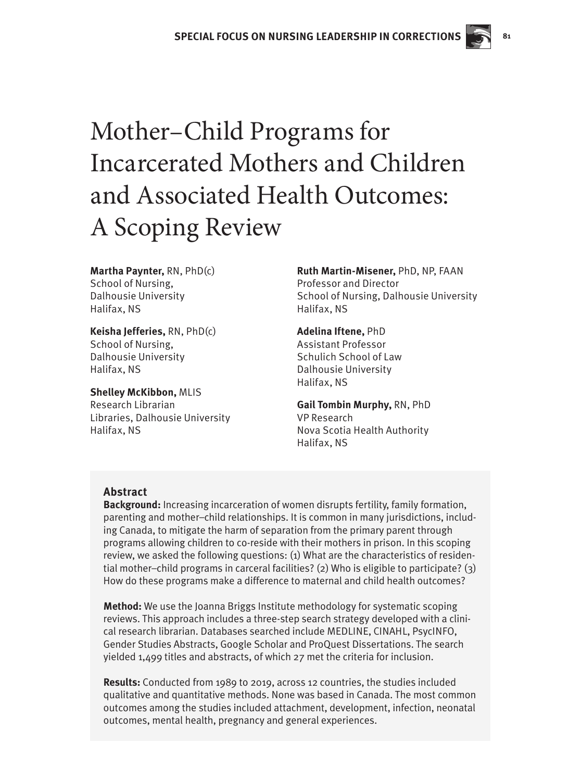# Mother–Child Programs for Incarcerated Mothers and Children and Associated Health Outcomes: A Scoping Review

**Martha Paynter,** RN, PhD(c) School of Nursing, Dalhousie University Halifax, NS

**Keisha Jefferies,** RN, PhD(c) School of Nursing, Dalhousie University Halifax, NS

**Shelley McKibbon,** MLIS Research Librarian Libraries, Dalhousie University Halifax, NS

**Ruth Martin-Misener,** PhD, NP, FAAN Professor and Director School of Nursing, Dalhousie University Halifax, NS

 **81**

**Adelina Iftene,** PhD Assistant Professor Schulich School of Law Dalhousie University Halifax, NS

**Gail Tombin Murphy,** RN, PhD VP Research Nova Scotia Health Authority Halifax, NS

# **Abstract**

**Background:** Increasing incarceration of women disrupts fertility, family formation, parenting and mother–child relationships. It is common in many jurisdictions, including Canada, to mitigate the harm of separation from the primary parent through programs allowing children to co-reside with their mothers in prison. In this scoping review, we asked the following questions: (1) What are the characteristics of residential mother–child programs in carceral facilities? (2) Who is eligible to participate? (3) How do these programs make a difference to maternal and child health outcomes?

**Method:** We use the Joanna Briggs Institute methodology for systematic scoping reviews. This approach includes a three-step search strategy developed with a clinical research librarian. Databases searched include MEDLINE, CINAHL, PsycINFO, Gender Studies Abstracts, Google Scholar and ProQuest Dissertations. The search yielded 1,499 titles and abstracts, of which 27 met the criteria for inclusion.

**Results:** Conducted from 1989 to 2019, across 12 countries, the studies included qualitative and quantitative methods. None was based in Canada. The most common outcomes among the studies included attachment, development, infection, neonatal outcomes, mental health, pregnancy and general experiences.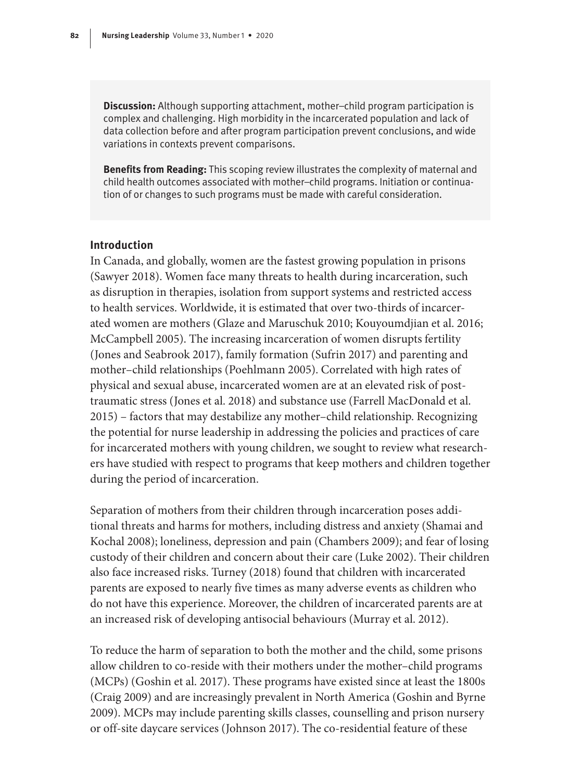**Discussion:** Although supporting attachment, mother–child program participation is complex and challenging. High morbidity in the incarcerated population and lack of data collection before and after program participation prevent conclusions, and wide variations in contexts prevent comparisons.

**Benefits from Reading:** This scoping review illustrates the complexity of maternal and child health outcomes associated with mother–child programs. Initiation or continuation of or changes to such programs must be made with careful consideration.

## **Introduction**

In Canada, and globally, women are the fastest growing population in prisons (Sawyer 2018). Women face many threats to health during incarceration, such as disruption in therapies, isolation from support systems and restricted access to health services. Worldwide, it is estimated that over two-thirds of incarcerated women are mothers (Glaze and Maruschuk 2010; Kouyoumdjian et al. 2016; McCampbell 2005). The increasing incarceration of women disrupts fertility (Jones and Seabrook 2017), family formation (Sufrin 2017) and parenting and mother–child relationships (Poehlmann 2005). Correlated with high rates of physical and sexual abuse, incarcerated women are at an elevated risk of posttraumatic stress (Jones et al. 2018) and substance use (Farrell MacDonald et al. 2015) – factors that may destabilize any mother–child relationship. Recognizing the potential for nurse leadership in addressing the policies and practices of care for incarcerated mothers with young children, we sought to review what researchers have studied with respect to programs that keep mothers and children together during the period of incarceration.

Separation of mothers from their children through incarceration poses additional threats and harms for mothers, including distress and anxiety (Shamai and Kochal 2008); loneliness, depression and pain (Chambers 2009); and fear of losing custody of their children and concern about their care (Luke 2002). Their children also face increased risks. Turney (2018) found that children with incarcerated parents are exposed to nearly five times as many adverse events as children who do not have this experience. Moreover, the children of incarcerated parents are at an increased risk of developing antisocial behaviours (Murray et al. 2012).

To reduce the harm of separation to both the mother and the child, some prisons allow children to co-reside with their mothers under the mother–child programs (MCPs) (Goshin et al. 2017). These programs have existed since at least the 1800s (Craig 2009) and are increasingly prevalent in North America (Goshin and Byrne 2009). MCPs may include parenting skills classes, counselling and prison nursery or off-site daycare services (Johnson 2017). The co-residential feature of these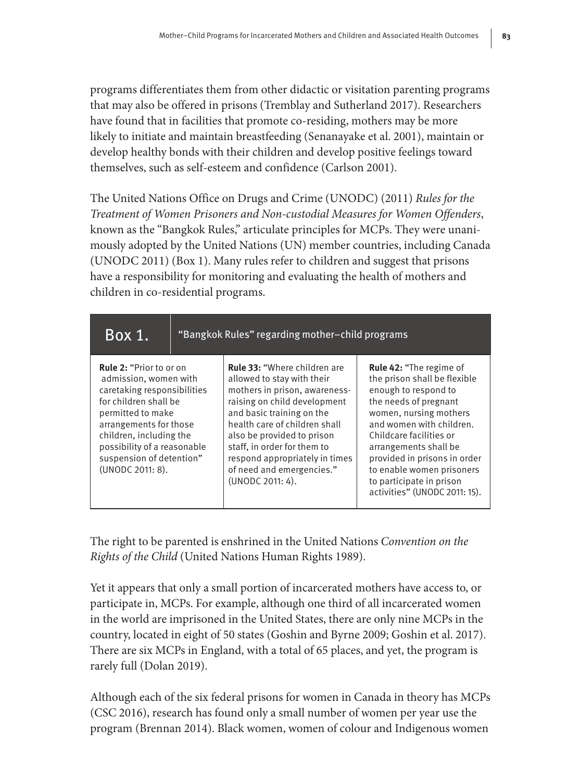programs differentiates them from other didactic or visitation parenting programs that may also be offered in prisons (Tremblay and Sutherland 2017). Researchers have found that in facilities that promote co-residing, mothers may be more likely to initiate and maintain breastfeeding (Senanayake et al. 2001), maintain or develop healthy bonds with their children and develop positive feelings toward themselves, such as self-esteem and confidence (Carlson 2001).

The United Nations Office on Drugs and Crime (UNODC) (2011) *Rules for the Treatment of Women Prisoners and Non-custodial Measures for Women Offenders*, known as the "Bangkok Rules," articulate principles for MCPs. They were unanimously adopted by the United Nations (UN) member countries, including Canada (UNODC 2011) (Box 1). Many rules refer to children and suggest that prisons have a responsibility for monitoring and evaluating the health of mothers and children in co-residential programs.

| Box 1.                                                                                                                                                                                                                                                                   | "Bangkok Rules" regarding mother-child programs |                                                                                                                                                                                                                                                                                                                                                  |                                                                                                                                                                                                                                                                                                                                                     |
|--------------------------------------------------------------------------------------------------------------------------------------------------------------------------------------------------------------------------------------------------------------------------|-------------------------------------------------|--------------------------------------------------------------------------------------------------------------------------------------------------------------------------------------------------------------------------------------------------------------------------------------------------------------------------------------------------|-----------------------------------------------------------------------------------------------------------------------------------------------------------------------------------------------------------------------------------------------------------------------------------------------------------------------------------------------------|
| <b>Rule 2: "Prior to or on</b><br>admission, women with<br>caretaking responsibilities<br>for children shall be<br>permitted to make<br>arrangements for those<br>children, including the<br>possibility of a reasonable<br>suspension of detention"<br>(UNODC 2011: 8). |                                                 | <b>Rule 33: "Where children are</b><br>allowed to stay with their<br>mothers in prison, awareness-<br>raising on child development<br>and basic training on the<br>health care of children shall<br>also be provided to prison<br>staff, in order for them to<br>respond appropriately in times<br>of need and emergencies."<br>(UNODC 2011: 4). | <b>Rule 42: "The regime of</b><br>the prison shall be flexible<br>enough to respond to<br>the needs of pregnant<br>women, nursing mothers<br>and women with children.<br>Childcare facilities or<br>arrangements shall be<br>provided in prisons in order<br>to enable women prisoners<br>to participate in prison<br>activities" (UNODC 2011: 15). |

The right to be parented is enshrined in the United Nations *Convention on the Rights of the Child* (United Nations Human Rights 1989).

Yet it appears that only a small portion of incarcerated mothers have access to, or participate in, MCPs. For example, although one third of all incarcerated women in the world are imprisoned in the United States, there are only nine MCPs in the country, located in eight of 50 states (Goshin and Byrne 2009; Goshin et al. 2017). There are six MCPs in England, with a total of 65 places, and yet, the program is rarely full (Dolan 2019).

Although each of the six federal prisons for women in Canada in theory has MCPs (CSC 2016), research has found only a small number of women per year use the program (Brennan 2014). Black women, women of colour and Indigenous women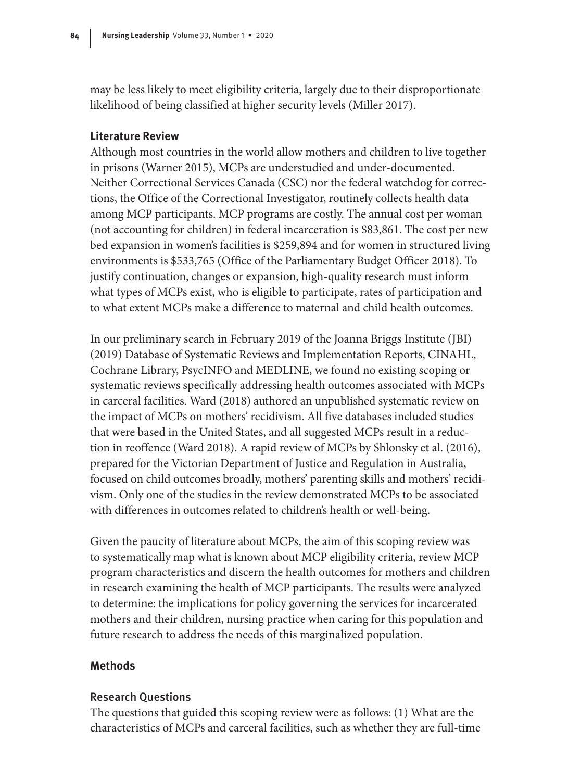may be less likely to meet eligibility criteria, largely due to their disproportionate likelihood of being classified at higher security levels (Miller 2017).

## **Literature Review**

Although most countries in the world allow mothers and children to live together in prisons (Warner 2015), MCPs are understudied and under-documented. Neither Correctional Services Canada (CSC) nor the federal watchdog for corrections, the Office of the Correctional Investigator, routinely collects health data among MCP participants. MCP programs are costly. The annual cost per woman (not accounting for children) in federal incarceration is \$83,861. The cost per new bed expansion in women's facilities is \$259,894 and for women in structured living environments is \$533,765 (Office of the Parliamentary Budget Officer 2018). To justify continuation, changes or expansion, high-quality research must inform what types of MCPs exist, who is eligible to participate, rates of participation and to what extent MCPs make a difference to maternal and child health outcomes.

In our preliminary search in February 2019 of the Joanna Briggs Institute (JBI) (2019) Database of Systematic Reviews and Implementation Reports, CINAHL, Cochrane Library, PsycINFO and MEDLINE, we found no existing scoping or systematic reviews specifically addressing health outcomes associated with MCPs in carceral facilities. Ward (2018) authored an unpublished systematic review on the impact of MCPs on mothers' recidivism. All five databases included studies that were based in the United States, and all suggested MCPs result in a reduction in reoffence (Ward 2018). A rapid review of MCPs by Shlonsky et al. (2016), prepared for the Victorian Department of Justice and Regulation in Australia, focused on child outcomes broadly, mothers' parenting skills and mothers' recidivism. Only one of the studies in the review demonstrated MCPs to be associated with differences in outcomes related to children's health or well-being.

Given the paucity of literature about MCPs, the aim of this scoping review was to systematically map what is known about MCP eligibility criteria, review MCP program characteristics and discern the health outcomes for mothers and children in research examining the health of MCP participants. The results were analyzed to determine: the implications for policy governing the services for incarcerated mothers and their children, nursing practice when caring for this population and future research to address the needs of this marginalized population.

## **Methods**

#### Research Questions

The questions that guided this scoping review were as follows: (1) What are the characteristics of MCPs and carceral facilities, such as whether they are full-time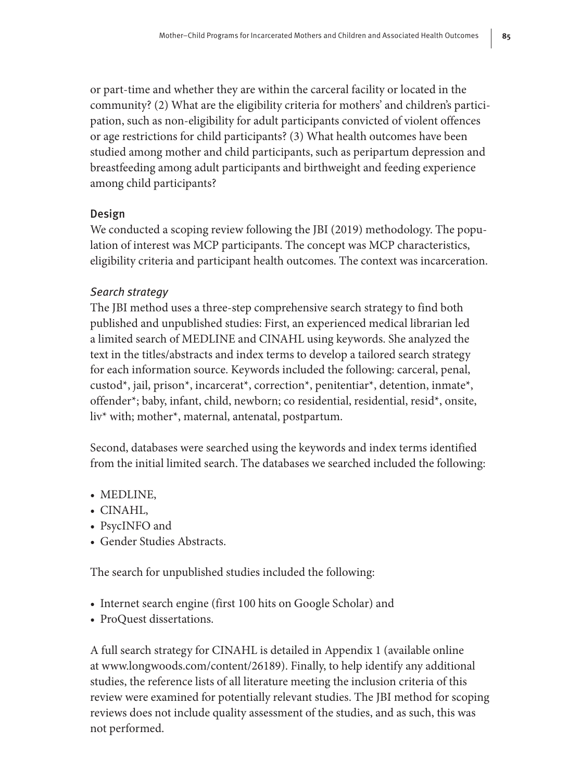or part-time and whether they are within the carceral facility or located in the community? (2) What are the eligibility criteria for mothers' and children's participation, such as non-eligibility for adult participants convicted of violent offences or age restrictions for child participants? (3) What health outcomes have been studied among mother and child participants, such as peripartum depression and breastfeeding among adult participants and birthweight and feeding experience among child participants?

# Design

We conducted a scoping review following the JBI (2019) methodology. The population of interest was MCP participants. The concept was MCP characteristics, eligibility criteria and participant health outcomes. The context was incarceration.

# Search strategy

The JBI method uses a three-step comprehensive search strategy to find both published and unpublished studies: First, an experienced medical librarian led a limited search of MEDLINE and CINAHL using keywords. She analyzed the text in the titles/abstracts and index terms to develop a tailored search strategy for each information source. Keywords included the following: carceral, penal, custod\*, jail, prison\*, incarcerat\*, correction\*, penitentiar\*, detention, inmate\*, offender\*; baby, infant, child, newborn; co residential, residential, resid\*, onsite, liv\* with; mother\*, maternal, antenatal, postpartum.

Second, databases were searched using the keywords and index terms identified from the initial limited search. The databases we searched included the following:

- MEDLINE,
- CINAHL,
- PsycINFO and
- Gender Studies Abstracts.

The search for unpublished studies included the following:

- Internet search engine (first 100 hits on Google Scholar) and
- ProQuest dissertations.

A full search strategy for CINAHL is detailed in [Appendix 1](http://www.longwoods.com/content/26189) (available online at [www.longwoods.com/content/26189\)](http://www.longwoods.com/content/26189). Finally, to help identify any additional studies, the reference lists of all literature meeting the inclusion criteria of this review were examined for potentially relevant studies. The JBI method for scoping reviews does not include quality assessment of the studies, and as such, this was not performed.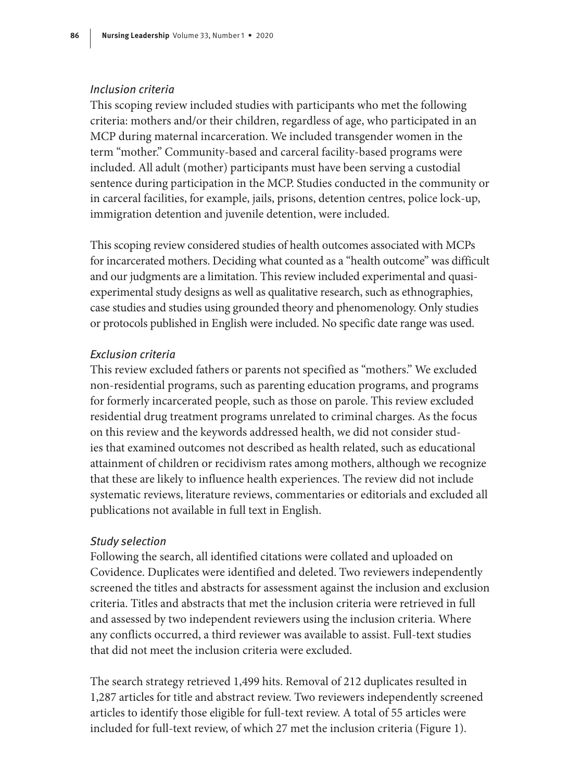## Inclusion criteria

This scoping review included studies with participants who met the following criteria: mothers and/or their children, regardless of age, who participated in an MCP during maternal incarceration. We included transgender women in the term "mother." Community-based and carceral facility-based programs were included. All adult (mother) participants must have been serving a custodial sentence during participation in the MCP. Studies conducted in the community or in carceral facilities, for example, jails, prisons, detention centres, police lock-up, immigration detention and juvenile detention, were included.

This scoping review considered studies of health outcomes associated with MCPs for incarcerated mothers. Deciding what counted as a "health outcome" was difficult and our judgments are a limitation. This review included experimental and quasiexperimental study designs as well as qualitative research, such as ethnographies, case studies and studies using grounded theory and phenomenology. Only studies or protocols published in English were included. No specific date range was used.

#### Exclusion criteria

This review excluded fathers or parents not specified as "mothers." We excluded non-residential programs, such as parenting education programs, and programs for formerly incarcerated people, such as those on parole. This review excluded residential drug treatment programs unrelated to criminal charges. As the focus on this review and the keywords addressed health, we did not consider studies that examined outcomes not described as health related, such as educational attainment of children or recidivism rates among mothers, although we recognize that these are likely to influence health experiences. The review did not include systematic reviews, literature reviews, commentaries or editorials and excluded all publications not available in full text in English.

#### Study selection

Following the search, all identified citations were collated and uploaded on Covidence. Duplicates were identified and deleted. Two reviewers independently screened the titles and abstracts for assessment against the inclusion and exclusion criteria. Titles and abstracts that met the inclusion criteria were retrieved in full and assessed by two independent reviewers using the inclusion criteria. Where any conflicts occurred, a third reviewer was available to assist. Full-text studies that did not meet the inclusion criteria were excluded.

The search strategy retrieved 1,499 hits. Removal of 212 duplicates resulted in 1,287 articles for title and abstract review. Two reviewers independently screened articles to identify those eligible for full-text review. A total of 55 articles were included for full-text review, of which 27 met the inclusion criteria (Figure 1).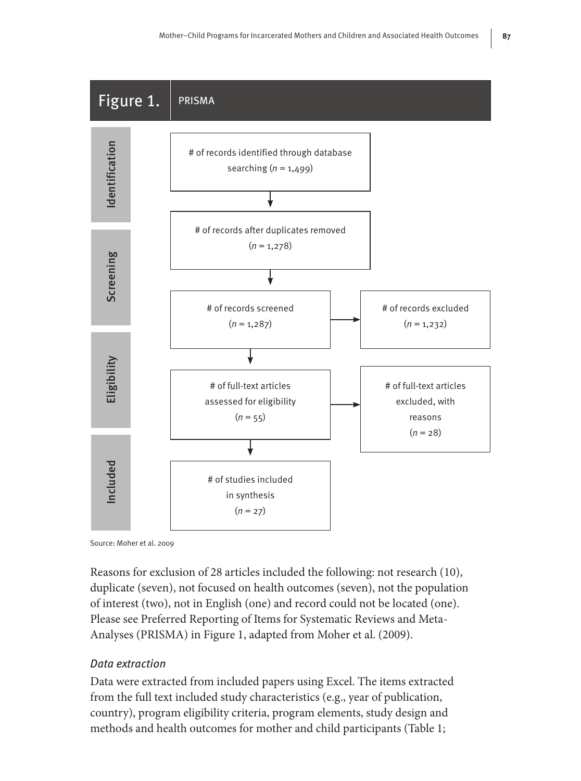

Source: Moher et al. 2009

Reasons for exclusion of 28 articles included the following: not research (10), duplicate (seven), not focused on health outcomes (seven), not the population of interest (two), not in English (one) and record could not be located (one). Please see Preferred Reporting of Items for Systematic Reviews and Meta-Analyses (PRISMA) in Figure 1, adapted from Moher et al. (2009).

## Data extraction

Data were extracted from included papers using Excel. The items extracted from the full text included study characteristics (e.g., year of publication, country), program eligibility criteria, program elements, study design and methods and health outcomes for mother and child participants (Table 1;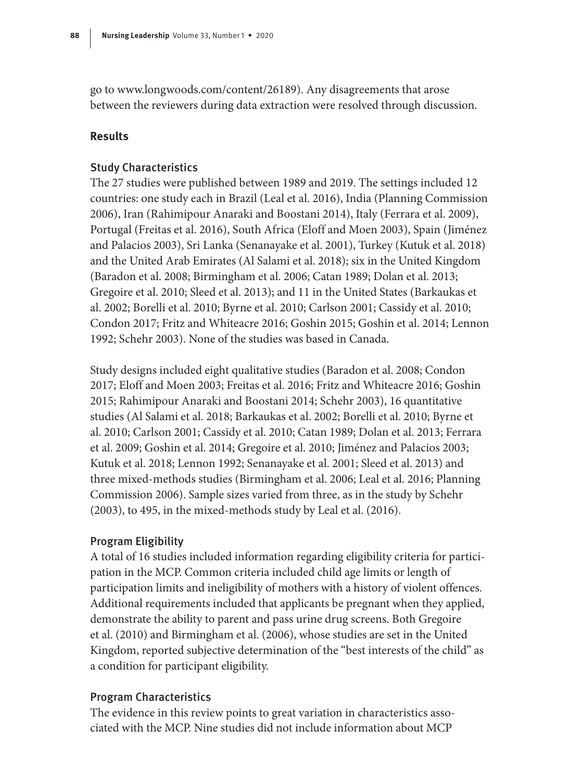go to [www.longwoods.com/content/26189\)](http://www.longwoods.com/content/26189). Any disagreements that arose between the reviewers during data extraction were resolved through discussion.

# **Results**

## Study Characteristics

The 27 studies were published between 1989 and 2019. The settings included 12 countries: one study each in Brazil (Leal et al. 2016), India (Planning Commission 2006), Iran (Rahimipour Anaraki and Boostani 2014), Italy (Ferrara et al. 2009), Portugal (Freitas et al. 2016), South Africa (Eloff and Moen 2003), Spain (Jiménez and Palacios 2003), Sri Lanka (Senanayake et al. 2001), Turkey (Kutuk et al. 2018) and the United Arab Emirates (Al Salami et al. 2018); six in the United Kingdom (Baradon et al. 2008; Birmingham et al. 2006; Catan 1989; Dolan et al. 2013; Gregoire et al. 2010; Sleed et al. 2013); and 11 in the United States (Barkaukas et al. 2002; Borelli et al. 2010; Byrne et al. 2010; Carlson 2001; Cassidy et al. 2010; Condon 2017; Fritz and Whiteacre 2016; Goshin 2015; Goshin et al. 2014; Lennon 1992; Schehr 2003). None of the studies was based in Canada.

Study designs included eight qualitative studies (Baradon et al. 2008; Condon 2017; Eloff and Moen 2003; Freitas et al. 2016; Fritz and Whiteacre 2016; Goshin 2015; Rahimipour Anaraki and Boostani 2014; Schehr 2003), 16 quantitative studies (Al Salami et al. 2018; Barkaukas et al. 2002; Borelli et al. 2010; Byrne et al. 2010; Carlson 2001; Cassidy et al. 2010; Catan 1989; Dolan et al. 2013; Ferrara et al. 2009; Goshin et al. 2014; Gregoire et al. 2010; Jiménez and Palacios 2003; Kutuk et al. 2018; Lennon 1992; Senanayake et al. 2001; Sleed et al. 2013) and three mixed-methods studies (Birmingham et al. 2006; Leal et al. 2016; Planning Commission 2006). Sample sizes varied from three, as in the study by Schehr (2003), to 495, in the mixed-methods study by Leal et al. (2016).

# Program Eligibility

A total of 16 studies included information regarding eligibility criteria for participation in the MCP. Common criteria included child age limits or length of participation limits and ineligibility of mothers with a history of violent offences. Additional requirements included that applicants be pregnant when they applied, demonstrate the ability to parent and pass urine drug screens. Both Gregoire et al. (2010) and Birmingham et al. (2006), whose studies are set in the United Kingdom, reported subjective determination of the "best interests of the child" as a condition for participant eligibility.

## Program Characteristics

The evidence in this review points to great variation in characteristics associated with the MCP. Nine studies did not include information about MCP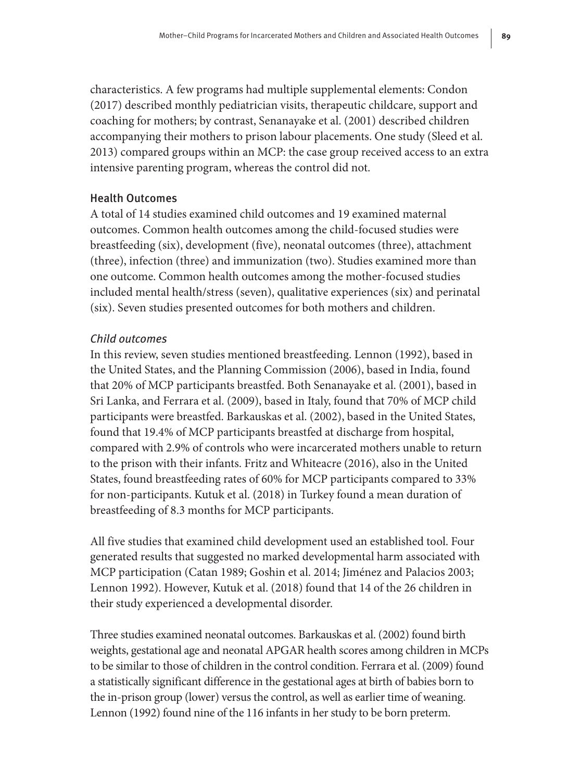characteristics. A few programs had multiple supplemental elements: Condon (2017) described monthly pediatrician visits, therapeutic childcare, support and coaching for mothers; by contrast, Senanayake et al. (2001) described children accompanying their mothers to prison labour placements. One study (Sleed et al. 2013) compared groups within an MCP: the case group received access to an extra intensive parenting program, whereas the control did not.

# Health Outcomes

A total of 14 studies examined child outcomes and 19 examined maternal outcomes. Common health outcomes among the child-focused studies were breastfeeding (six), development (five), neonatal outcomes (three), attachment (three), infection (three) and immunization (two). Studies examined more than one outcome. Common health outcomes among the mother-focused studies included mental health/stress (seven), qualitative experiences (six) and perinatal (six). Seven studies presented outcomes for both mothers and children.

## Child outcomes

In this review, seven studies mentioned breastfeeding. Lennon (1992), based in the United States, and the Planning Commission (2006), based in India, found that 20% of MCP participants breastfed. Both Senanayake et al. (2001), based in Sri Lanka, and Ferrara et al. (2009), based in Italy, found that 70% of MCP child participants were breastfed. Barkauskas et al. (2002), based in the United States, found that 19.4% of MCP participants breastfed at discharge from hospital, compared with 2.9% of controls who were incarcerated mothers unable to return to the prison with their infants. Fritz and Whiteacre (2016), also in the United States, found breastfeeding rates of 60% for MCP participants compared to 33% for non-participants. Kutuk et al. (2018) in Turkey found a mean duration of breastfeeding of 8.3 months for MCP participants.

All five studies that examined child development used an established tool. Four generated results that suggested no marked developmental harm associated with MCP participation (Catan 1989; Goshin et al. 2014; Jiménez and Palacios 2003; Lennon 1992). However, Kutuk et al. (2018) found that 14 of the 26 children in their study experienced a developmental disorder.

Three studies examined neonatal outcomes. Barkauskas et al. (2002) found birth weights, gestational age and neonatal APGAR health scores among children in MCPs to be similar to those of children in the control condition. Ferrara et al. (2009) found a statistically significant difference in the gestational ages at birth of babies born to the in-prison group (lower) versus the control, as well as earlier time of weaning. Lennon (1992) found nine of the 116 infants in her study to be born preterm.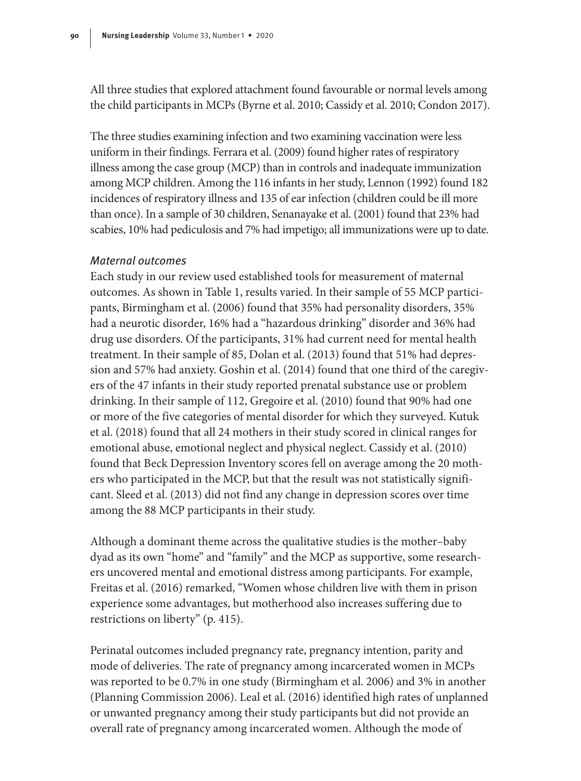All three studies that explored attachment found favourable or normal levels among the child participants in MCPs (Byrne et al. 2010; Cassidy et al. 2010; Condon 2017).

The three studies examining infection and two examining vaccination were less uniform in their findings. Ferrara et al. (2009) found higher rates of respiratory illness among the case group (MCP) than in controls and inadequate immunization among MCP children. Among the 116 infants in her study, Lennon (1992) found 182 incidences of respiratory illness and 135 of ear infection (children could be ill more than once). In a sample of 30 children, Senanayake et al. (2001) found that 23% had scabies, 10% had pediculosis and 7% had impetigo; all immunizations were up to date.

#### Maternal outcomes

Each study in our review used established tools for measurement of maternal outcomes. As shown in Table 1, results varied. In their sample of 55 MCP participants, Birmingham et al. (2006) found that 35% had personality disorders, 35% had a neurotic disorder, 16% had a "hazardous drinking" disorder and 36% had drug use disorders. Of the participants, 31% had current need for mental health treatment. In their sample of 85, Dolan et al. (2013) found that 51% had depression and 57% had anxiety. Goshin et al. (2014) found that one third of the caregivers of the 47 infants in their study reported prenatal substance use or problem drinking. In their sample of 112, Gregoire et al. (2010) found that 90% had one or more of the five categories of mental disorder for which they surveyed. Kutuk et al. (2018) found that all 24 mothers in their study scored in clinical ranges for emotional abuse, emotional neglect and physical neglect. Cassidy et al. (2010) found that Beck Depression Inventory scores fell on average among the 20 mothers who participated in the MCP, but that the result was not statistically significant. Sleed et al. (2013) did not find any change in depression scores over time among the 88 MCP participants in their study.

Although a dominant theme across the qualitative studies is the mother–baby dyad as its own "home" and "family" and the MCP as supportive, some researchers uncovered mental and emotional distress among participants. For example, Freitas et al. (2016) remarked, "Women whose children live with them in prison experience some advantages, but motherhood also increases suffering due to restrictions on liberty" (p. 415).

Perinatal outcomes included pregnancy rate, pregnancy intention, parity and mode of deliveries. The rate of pregnancy among incarcerated women in MCPs was reported to be 0.7% in one study (Birmingham et al. 2006) and 3% in another (Planning Commission 2006). Leal et al. (2016) identified high rates of unplanned or unwanted pregnancy among their study participants but did not provide an overall rate of pregnancy among incarcerated women. Although the mode of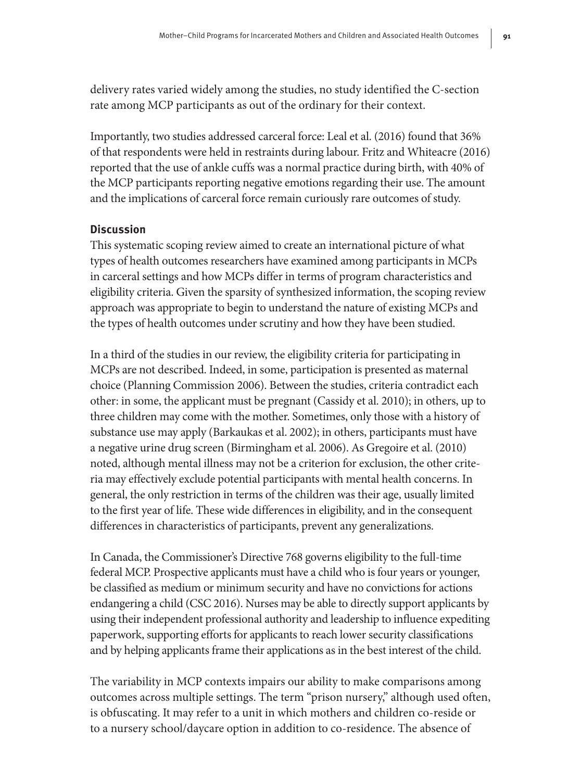delivery rates varied widely among the studies, no study identified the C-section rate among MCP participants as out of the ordinary for their context.

Importantly, two studies addressed carceral force: Leal et al. (2016) found that 36% of that respondents were held in restraints during labour. Fritz and Whiteacre (2016) reported that the use of ankle cuffs was a normal practice during birth, with 40% of the MCP participants reporting negative emotions regarding their use. The amount and the implications of carceral force remain curiously rare outcomes of study.

## **Discussion**

This systematic scoping review aimed to create an international picture of what types of health outcomes researchers have examined among participants in MCPs in carceral settings and how MCPs differ in terms of program characteristics and eligibility criteria. Given the sparsity of synthesized information, the scoping review approach was appropriate to begin to understand the nature of existing MCPs and the types of health outcomes under scrutiny and how they have been studied.

In a third of the studies in our review, the eligibility criteria for participating in MCPs are not described. Indeed, in some, participation is presented as maternal choice (Planning Commission 2006). Between the studies, criteria contradict each other: in some, the applicant must be pregnant (Cassidy et al. 2010); in others, up to three children may come with the mother. Sometimes, only those with a history of substance use may apply (Barkaukas et al. 2002); in others, participants must have a negative urine drug screen (Birmingham et al. 2006). As Gregoire et al. (2010) noted, although mental illness may not be a criterion for exclusion, the other criteria may effectively exclude potential participants with mental health concerns. In general, the only restriction in terms of the children was their age, usually limited to the first year of life. These wide differences in eligibility, and in the consequent differences in characteristics of participants, prevent any generalizations.

In Canada, the Commissioner's Directive 768 governs eligibility to the full-time federal MCP. Prospective applicants must have a child who is four years or younger, be classified as medium or minimum security and have no convictions for actions endangering a child (CSC 2016). Nurses may be able to directly support applicants by using their independent professional authority and leadership to influence expediting paperwork, supporting efforts for applicants to reach lower security classifications and by helping applicants frame their applications as in the best interest of the child.

The variability in MCP contexts impairs our ability to make comparisons among outcomes across multiple settings. The term "prison nursery," although used often, is obfuscating. It may refer to a unit in which mothers and children co-reside or to a nursery school/daycare option in addition to co-residence. The absence of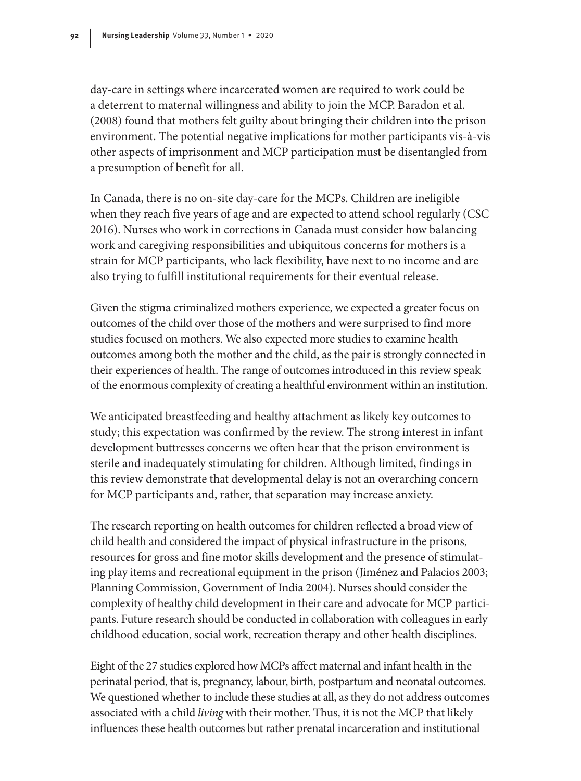day-care in settings where incarcerated women are required to work could be a deterrent to maternal willingness and ability to join the MCP. Baradon et al. (2008) found that mothers felt guilty about bringing their children into the prison environment. The potential negative implications for mother participants vis-à-vis other aspects of imprisonment and MCP participation must be disentangled from a presumption of benefit for all.

In Canada, there is no on-site day-care for the MCPs. Children are ineligible when they reach five years of age and are expected to attend school regularly (CSC 2016). Nurses who work in corrections in Canada must consider how balancing work and caregiving responsibilities and ubiquitous concerns for mothers is a strain for MCP participants, who lack flexibility, have next to no income and are also trying to fulfill institutional requirements for their eventual release.

Given the stigma criminalized mothers experience, we expected a greater focus on outcomes of the child over those of the mothers and were surprised to find more studies focused on mothers. We also expected more studies to examine health outcomes among both the mother and the child, as the pair is strongly connected in their experiences of health. The range of outcomes introduced in this review speak of the enormous complexity of creating a healthful environment within an institution.

We anticipated breastfeeding and healthy attachment as likely key outcomes to study; this expectation was confirmed by the review. The strong interest in infant development buttresses concerns we often hear that the prison environment is sterile and inadequately stimulating for children. Although limited, findings in this review demonstrate that developmental delay is not an overarching concern for MCP participants and, rather, that separation may increase anxiety.

The research reporting on health outcomes for children reflected a broad view of child health and considered the impact of physical infrastructure in the prisons, resources for gross and fine motor skills development and the presence of stimulating play items and recreational equipment in the prison (Jiménez and Palacios 2003; Planning Commission, Government of India 2004). Nurses should consider the complexity of healthy child development in their care and advocate for MCP participants. Future research should be conducted in collaboration with colleagues in early childhood education, social work, recreation therapy and other health disciplines.

Eight of the 27 studies explored how MCPs affect maternal and infant health in the perinatal period, that is, pregnancy, labour, birth, postpartum and neonatal outcomes. We questioned whether to include these studies at all, as they do not address outcomes associated with a child *living* with their mother. Thus, it is not the MCP that likely influences these health outcomes but rather prenatal incarceration and institutional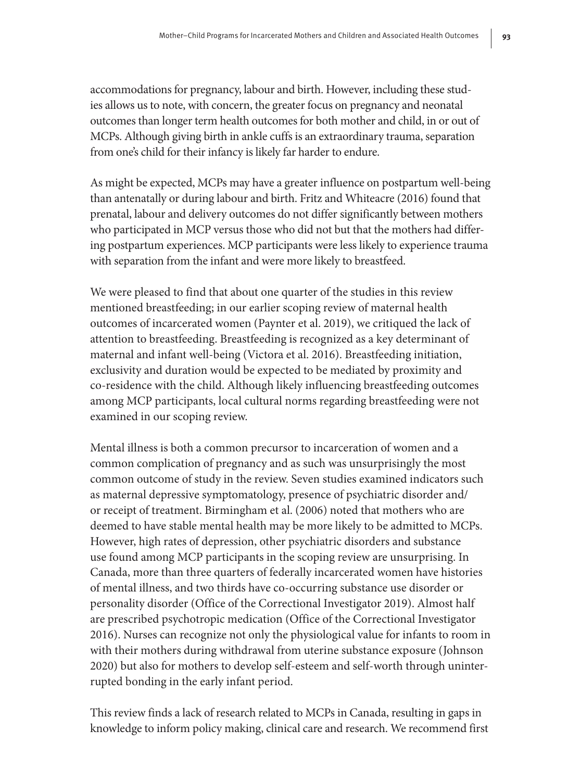accommodations for pregnancy, labour and birth. However, including these studies allows us to note, with concern, the greater focus on pregnancy and neonatal outcomes than longer term health outcomes for both mother and child, in or out of MCPs. Although giving birth in ankle cuffs is an extraordinary trauma, separation from one's child for their infancy is likely far harder to endure.

As might be expected, MCPs may have a greater influence on postpartum well-being than antenatally or during labour and birth. Fritz and Whiteacre (2016) found that prenatal, labour and delivery outcomes do not differ significantly between mothers who participated in MCP versus those who did not but that the mothers had differing postpartum experiences. MCP participants were less likely to experience trauma with separation from the infant and were more likely to breastfeed.

We were pleased to find that about one quarter of the studies in this review mentioned breastfeeding; in our earlier scoping review of maternal health outcomes of incarcerated women (Paynter et al. 2019), we critiqued the lack of attention to breastfeeding. Breastfeeding is recognized as a key determinant of maternal and infant well-being (Victora et al. 2016). Breastfeeding initiation, exclusivity and duration would be expected to be mediated by proximity and co-residence with the child. Although likely influencing breastfeeding outcomes among MCP participants, local cultural norms regarding breastfeeding were not examined in our scoping review.

Mental illness is both a common precursor to incarceration of women and a common complication of pregnancy and as such was unsurprisingly the most common outcome of study in the review. Seven studies examined indicators such as maternal depressive symptomatology, presence of psychiatric disorder and/ or receipt of treatment. Birmingham et al. (2006) noted that mothers who are deemed to have stable mental health may be more likely to be admitted to MCPs. However, high rates of depression, other psychiatric disorders and substance use found among MCP participants in the scoping review are unsurprising. In Canada, more than three quarters of federally incarcerated women have histories of mental illness, and two thirds have co-occurring substance use disorder or personality disorder (Office of the Correctional Investigator 2019). Almost half are prescribed psychotropic medication (Office of the Correctional Investigator 2016). Nurses can recognize not only the physiological value for infants to room in with their mothers during withdrawal from uterine substance exposure (Johnson 2020) but also for mothers to develop self-esteem and self-worth through uninterrupted bonding in the early infant period.

This review finds a lack of research related to MCPs in Canada, resulting in gaps in knowledge to inform policy making, clinical care and research. We recommend first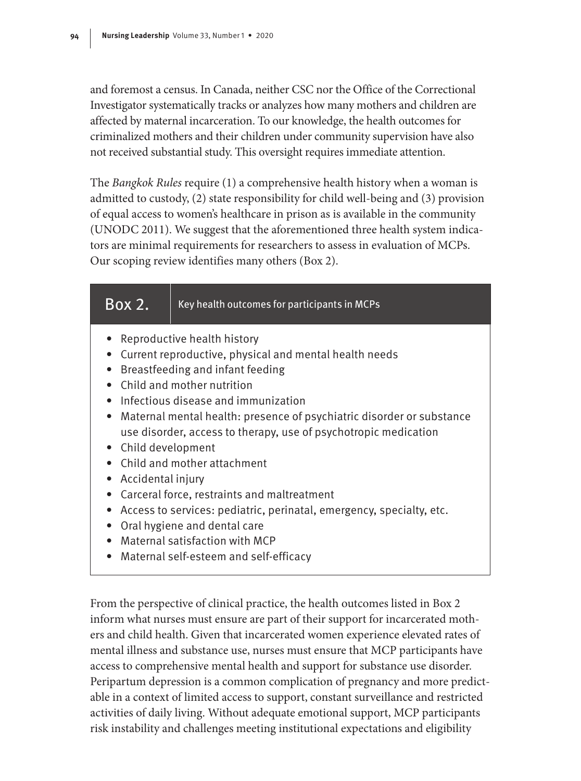and foremost a census. In Canada, neither CSC nor the Office of the Correctional Investigator systematically tracks or analyzes how many mothers and children are affected by maternal incarceration. To our knowledge, the health outcomes for criminalized mothers and their children under community supervision have also not received substantial study. This oversight requires immediate attention.

The *Bangkok Rules* require (1) a comprehensive health history when a woman is admitted to custody, (2) state responsibility for child well-being and (3) provision of equal access to women's healthcare in prison as is available in the community (UNODC 2011). We suggest that the aforementioned three health system indicators are minimal requirements for researchers to assess in evaluation of MCPs. Our scoping review identifies many others (Box 2).

| Box 2.                                                                                                                                                                                                                                                                                                                                                                                                                                                                                                                                                                                                                                                                       | Key health outcomes for participants in MCPs |  |  |
|------------------------------------------------------------------------------------------------------------------------------------------------------------------------------------------------------------------------------------------------------------------------------------------------------------------------------------------------------------------------------------------------------------------------------------------------------------------------------------------------------------------------------------------------------------------------------------------------------------------------------------------------------------------------------|----------------------------------------------|--|--|
| Reproductive health history<br>Current reproductive, physical and mental health needs<br>Breastfeeding and infant feeding<br>• Child and mother nutrition<br>$\bullet$ Infectious disease and immunization<br>• Maternal mental health: presence of psychiatric disorder or substance<br>use disorder, access to therapy, use of psychotropic medication<br>• Child development<br>• Child and mother attachment<br>Accidental injury<br>• Carceral force, restraints and maltreatment<br>Access to services: pediatric, perinatal, emergency, specialty, etc.<br>Oral hygiene and dental care<br>• Maternal satisfaction with MCP<br>Maternal self-esteem and self-efficacy |                                              |  |  |

From the perspective of clinical practice, the health outcomes listed in Box 2 inform what nurses must ensure are part of their support for incarcerated mothers and child health. Given that incarcerated women experience elevated rates of mental illness and substance use, nurses must ensure that MCP participants have access to comprehensive mental health and support for substance use disorder. Peripartum depression is a common complication of pregnancy and more predictable in a context of limited access to support, constant surveillance and restricted activities of daily living. Without adequate emotional support, MCP participants risk instability and challenges meeting institutional expectations and eligibility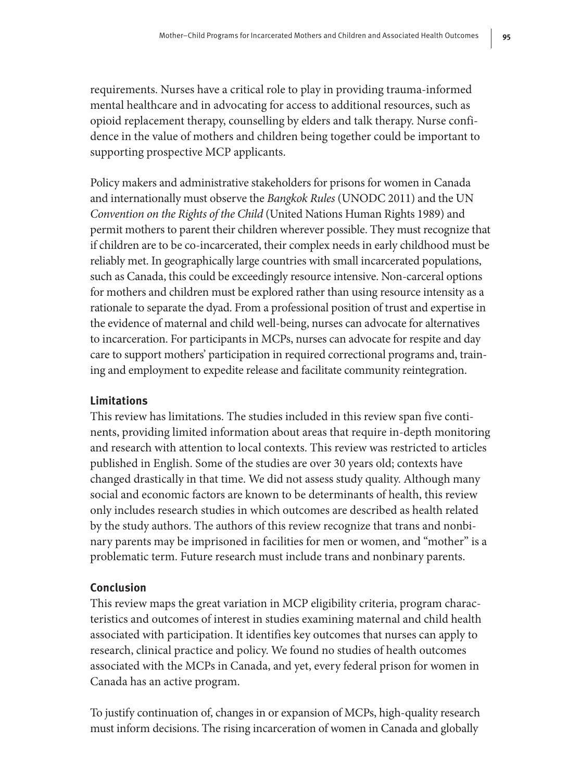requirements. Nurses have a critical role to play in providing trauma-informed mental healthcare and in advocating for access to additional resources, such as opioid replacement therapy, counselling by elders and talk therapy. Nurse confidence in the value of mothers and children being together could be important to supporting prospective MCP applicants.

Policy makers and administrative stakeholders for prisons for women in Canada and internationally must observe the *Bangkok Rules* (UNODC 2011) and the UN *Convention on the Rights of the Child* (United Nations Human Rights 1989) and permit mothers to parent their children wherever possible. They must recognize that if children are to be co-incarcerated, their complex needs in early childhood must be reliably met. In geographically large countries with small incarcerated populations, such as Canada, this could be exceedingly resource intensive. Non-carceral options for mothers and children must be explored rather than using resource intensity as a rationale to separate the dyad. From a professional position of trust and expertise in the evidence of maternal and child well-being, nurses can advocate for alternatives to incarceration. For participants in MCPs, nurses can advocate for respite and day care to support mothers' participation in required correctional programs and, training and employment to expedite release and facilitate community reintegration.

# **Limitations**

This review has limitations. The studies included in this review span five continents, providing limited information about areas that require in-depth monitoring and research with attention to local contexts. This review was restricted to articles published in English. Some of the studies are over 30 years old; contexts have changed drastically in that time. We did not assess study quality. Although many social and economic factors are known to be determinants of health, this review only includes research studies in which outcomes are described as health related by the study authors. The authors of this review recognize that trans and nonbinary parents may be imprisoned in facilities for men or women, and "mother" is a problematic term. Future research must include trans and nonbinary parents.

# **Conclusion**

This review maps the great variation in MCP eligibility criteria, program characteristics and outcomes of interest in studies examining maternal and child health associated with participation. It identifies key outcomes that nurses can apply to research, clinical practice and policy. We found no studies of health outcomes associated with the MCPs in Canada, and yet, every federal prison for women in Canada has an active program.

To justify continuation of, changes in or expansion of MCPs, high-quality research must inform decisions. The rising incarceration of women in Canada and globally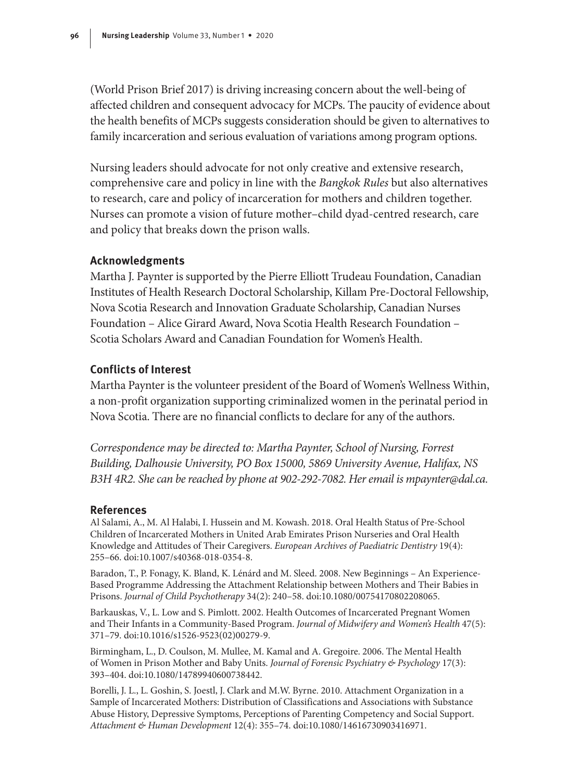(World Prison Brief 2017) is driving increasing concern about the well-being of affected children and consequent advocacy for MCPs. The paucity of evidence about the health benefits of MCPs suggests consideration should be given to alternatives to family incarceration and serious evaluation of variations among program options.

Nursing leaders should advocate for not only creative and extensive research, comprehensive care and policy in line with the *Bangkok Rules* but also alternatives to research, care and policy of incarceration for mothers and children together. Nurses can promote a vision of future mother–child dyad-centred research, care and policy that breaks down the prison walls.

#### **Acknowledgments**

Martha J. Paynter is supported by the Pierre Elliott Trudeau Foundation, Canadian Institutes of Health Research Doctoral Scholarship, Killam Pre-Doctoral Fellowship, Nova Scotia Research and Innovation Graduate Scholarship, Canadian Nurses Foundation – Alice Girard Award, Nova Scotia Health Research Foundation – Scotia Scholars Award and Canadian Foundation for Women's Health.

#### **Conflicts of Interest**

Martha Paynter is the volunteer president of the Board of Women's Wellness Within, a non-profit organization supporting criminalized women in the perinatal period in Nova Scotia. There are no financial conflicts to declare for any of the authors.

*Correspondence may be directed to: Martha Paynter, School of Nursing, Forrest Building, Dalhousie University, PO Box 15000, 5869 University Avenue, Halifax, NS B3H 4R2. She can be reached by phone at 902-292-7082. Her email is mpaynter@dal.ca.*

#### **References**

Al Salami, A., M. Al Halabi, I. Hussein and M. Kowash. 2018. Oral Health Status of Pre-School Children of Incarcerated Mothers in United Arab Emirates Prison Nurseries and Oral Health Knowledge and Attitudes of Their Caregivers. *European Archives of Paediatric Dentistry* 19(4): 255–66. doi:10.1007/s40368-018-0354-8.

Baradon, T., P. Fonagy, K. Bland, K. Lénárd and M. Sleed. 2008. New Beginnings – An Experience-Based Programme Addressing the Attachment Relationship between Mothers and Their Babies in Prisons. *Journal of Child Psychotherapy* 34(2): 240–58. doi:10.1080/00754170802208065.

Barkauskas, V., L. Low and S. Pimlott. 2002. Health Outcomes of Incarcerated Pregnant Women and Their Infants in a Community-Based Program. *Journal of Midwifery and Women's Health* 47(5): 371–79. doi:10.1016/s1526-9523(02)00279-9.

Birmingham, L., D. Coulson, M. Mullee, M. Kamal and A. Gregoire. 2006. The Mental Health of Women in Prison Mother and Baby Units. *Journal of Forensic Psychiatry & Psychology* 17(3): 393–404. doi:10.1080/14789940600738442.

Borelli, J. L., L. Goshin, S. Joestl, J. Clark and M.W. Byrne. 2010. Attachment Organization in a Sample of Incarcerated Mothers: Distribution of Classifications and Associations with Substance Abuse History, Depressive Symptoms, Perceptions of Parenting Competency and Social Support. *Attachment & Human Development* 12(4): 355–74. doi:10.1080/14616730903416971.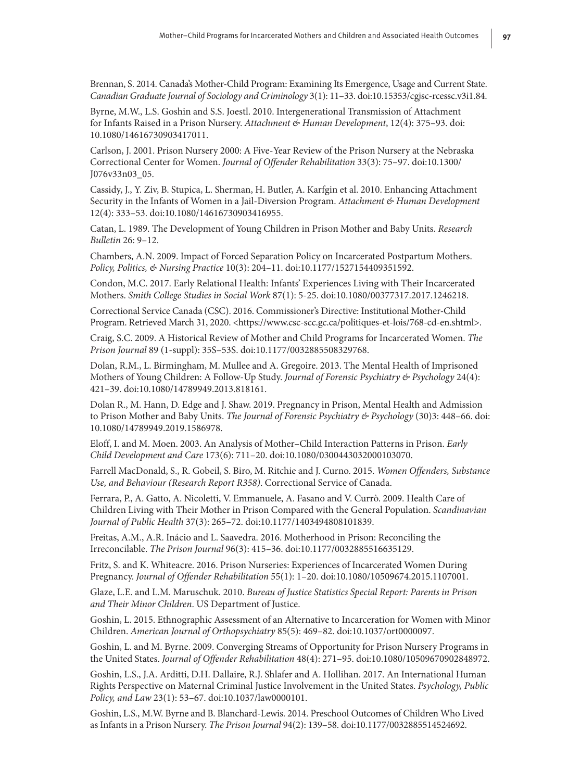Brennan, S. 2014. Canada's Mother-Child Program: Examining Its Emergence, Usage and Current State. *Canadian Graduate Journal of Sociology and Criminology* 3(1): 11–33. doi:10.15353/cgjsc-rcessc.v3i1.84.

Byrne, M.W., L.S. Goshin and S.S. Joestl. 2010. Intergenerational Transmission of Attachment for Infants Raised in a Prison Nursery. *Attachment & Human Development*, 12(4): 375–93. doi: 10.1080/14616730903417011.

Carlson, J. 2001. Prison Nursery 2000: A Five-Year Review of the Prison Nursery at the Nebraska Correctional Center for Women. *Journal of Offender Rehabilitation* 33(3): 75–97. doi:10.1300/ J076v33n03\_05.

Cassidy, J., Y. Ziv, B. Stupica, L. Sherman, H. Butler, A. Karfgin et al. 2010. Enhancing Attachment Security in the Infants of Women in a Jail-Diversion Program. *Attachment & Human Development* 12(4): 333–53. doi:10.1080/14616730903416955.

Catan, L. 1989. The Development of Young Children in Prison Mother and Baby Units. *Research Bulletin* 26: 9–12.

Chambers, A.N. 2009. Impact of Forced Separation Policy on Incarcerated Postpartum Mothers. *Policy, Politics, & Nursing Practice* 10(3): 204–11. doi:10.1177/1527154409351592.

Condon, M.C. 2017. Early Relational Health: Infants' Experiences Living with Their Incarcerated Mothers. *Smith College Studies in Social Work* 87(1): 5-25. doi:10.1080/00377317.2017.1246218.

Correctional Service Canada (CSC). 2016. Commissioner's Directive: Institutional Mother-Child Program. Retrieved March 31, 2020. [<https://www.csc-scc.gc.ca/politiques-et-lois/768-cd-en.shtml](https://www.csc-scc.gc.ca/politiques-et-lois/768-cd-en.shtml)>.

Craig, S.C. 2009. A Historical Review of Mother and Child Programs for Incarcerated Women. *The Prison Journal* 89 (1-suppl): 35S–53S. doi:10.1177/0032885508329768.

Dolan, R.M., L. Birmingham, M. Mullee and A. Gregoire. 2013. The Mental Health of Imprisoned Mothers of Young Children: A Follow-Up Study. *Journal of Forensic Psychiatry & Psychology* 24(4): 421–39. doi:10.1080/14789949.2013.818161.

Dolan R., M. Hann, D. Edge and J. Shaw. 2019. Pregnancy in Prison, Mental Health and Admission to Prison Mother and Baby Units. *The Journal of Forensic Psychiatry & Psychology* (30)3: 448–66. doi: 10.1080/14789949.2019.1586978.

Eloff, I. and M. Moen. 2003. An Analysis of Mother–Child Interaction Patterns in Prison. *Early Child Development and Care* 173(6): 711–20. doi:10.1080/0300443032000103070.

Farrell MacDonald, S., R. Gobeil, S. Biro, M. Ritchie and J. Curno. 2015. *Women Offenders, Substance Use, and Behaviour (Research Report R358)*. Correctional Service of Canada.

Ferrara, P., A. Gatto, A. Nicoletti, V. Emmanuele, A. Fasano and V. Currò. 2009. Health Care of Children Living with Their Mother in Prison Compared with the General Population. *Scandinavian Journal of Public Health* 37(3): 265–72. doi:10.1177/1403494808101839.

Freitas, A.M., A.R. Inácio and L. Saavedra. 2016. Motherhood in Prison: Reconciling the Irreconcilable. *The Prison Journal* 96(3): 415–36. doi:10.1177/0032885516635129.

Fritz, S. and K. Whiteacre. 2016. Prison Nurseries: Experiences of Incarcerated Women During Pregnancy. *Journal of Offender Rehabilitation* 55(1): 1–20. doi:10.1080/10509674.2015.1107001.

Glaze, L.E. and L.M. Maruschuk. 2010. *Bureau of Justice Statistics Special Report: Parents in Prison and Their Minor Children*. US Department of Justice.

Goshin, L. 2015. Ethnographic Assessment of an Alternative to Incarceration for Women with Minor Children. *American Journal of Orthopsychiatry* 85(5): 469–82. doi:10.1037/ort0000097.

Goshin, L. and M. Byrne. 2009. Converging Streams of Opportunity for Prison Nursery Programs in the United States. *Journal of Offender Rehabilitation* 48(4): 271–95. doi:10.1080/10509670902848972.

Goshin, L.S., J.A. Arditti, D.H. Dallaire, R.J. Shlafer and A. Hollihan. 2017. An International Human Rights Perspective on Maternal Criminal Justice Involvement in the United States. *Psychology, Public Policy, and Law* 23(1): 53–67. doi:10.1037/law0000101.

Goshin, L.S., M.W. Byrne and B. Blanchard-Lewis. 2014. Preschool Outcomes of Children Who Lived as Infants in a Prison Nursery. *The Prison Journal* 94(2): 139–58. doi:10.1177/0032885514524692.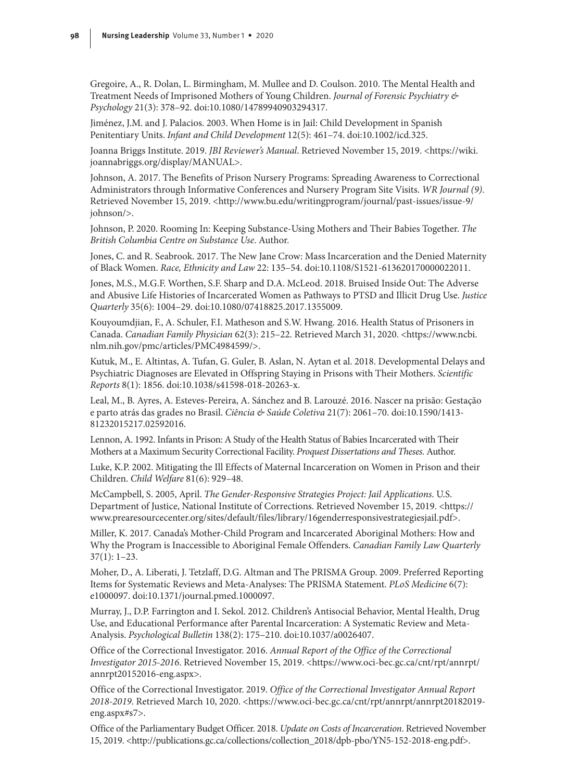Gregoire, A., R. Dolan, L. Birmingham, M. Mullee and D. Coulson. 2010. The Mental Health and Treatment Needs of Imprisoned Mothers of Young Children. *Journal of Forensic Psychiatry & Psychology* 21(3): 378–92. doi:10.1080/14789940903294317.

Jiménez, J.M. and J. Palacios. 2003. When Home is in Jail: Child Development in Spanish Penitentiary Units. *Infant and Child Development* 12(5): 461–74. doi:10.1002/icd.325.

Joanna Briggs Institute. 2019. *JBI Reviewer's Manual*. Retrieved November 15, 2019. [<https://wiki.](https://wiki.joannabriggs.org/display/MANUAL) [joannabriggs.org/display/MANUAL>](https://wiki.joannabriggs.org/display/MANUAL).

Johnson, A. 2017. The Benefits of Prison Nursery Programs: Spreading Awareness to Correctional Administrators through Informative Conferences and Nursery Program Site Visits. *WR Journal (9)*. Retrieved November 15, 2019. [<http://www.bu.edu/writingprogram/journal/past-issues/issue-9/](http://www.bu.edu/writingprogram/journal/past-issues/issue-9/johnson/) [johnson/](http://www.bu.edu/writingprogram/journal/past-issues/issue-9/johnson/)>.

Johnson, P. 2020. Rooming In: Keeping Substance-Using Mothers and Their Babies Together. *The British Columbia Centre on Substance Use*. Author.

Jones, C. and R. Seabrook. 2017. The New Jane Crow: Mass Incarceration and the Denied Maternity of Black Women. *Race, Ethnicity and Law* 22: 135–54. doi:10.1108/S1521-613620170000022011.

Jones, M.S., M.G.F. Worthen, S.F. Sharp and D.A. McLeod. 2018. Bruised Inside Out: The Adverse and Abusive Life Histories of Incarcerated Women as Pathways to PTSD and Illicit Drug Use. *Justice Quarterly* 35(6): 1004–29. doi:10.1080/07418825.2017.1355009.

Kouyoumdjian, F., A. Schuler, F.I. Matheson and S.W. Hwang. 2016. Health Status of Prisoners in Canada. *Canadian Family Physician* 62(3): 215–22. Retrieved March 31, 2020. [<https://www.ncbi.](https://www.ncbi.nlm.nih.gov/pmc/articles/PMC4984599/) [nlm.nih.gov/pmc/articles/PMC4984599/](https://www.ncbi.nlm.nih.gov/pmc/articles/PMC4984599/)>.

Kutuk, M., E. Altintas, A. Tufan, G. Guler, B. Aslan, N. Aytan et al. 2018. Developmental Delays and Psychiatric Diagnoses are Elevated in Offspring Staying in Prisons with Their Mothers. *Scientific Reports* 8(1): 1856. doi:10.1038/s41598-018-20263-x.

Leal, M., B. Ayres, A. Esteves-Pereira, A. Sánchez and B. Larouzé. 2016. Nascer na prisão: Gestação e parto atrás das grades no Brasil. *Ciência & Saúde Coletiva* 21(7): 2061–70. doi:10.1590/1413- 81232015217.02592016.

Lennon, A. 1992. Infants in Prison: A Study of the Health Status of Babies Incarcerated with Their Mothers at a Maximum Security Correctional Facility. *Proquest Dissertations and Theses.* Author.

Luke, K.P. 2002. Mitigating the Ill Effects of Maternal Incarceration on Women in Prison and their Children. *Child Welfare* 81(6): 929–48.

McCampbell, S. 2005, April. *The Gender-Responsive Strategies Project: Jail Applications*. U.S. Department of Justice, National Institute of Corrections. Retrieved November 15, 2019. <[https://](https://www.prearesourcecenter.org/sites/default/files/library/16genderresponsivestrategiesjail.pdf) [www.prearesourcecenter.org/sites/default/files/library/16genderresponsivestrategiesjail.pdf>](https://www.prearesourcecenter.org/sites/default/files/library/16genderresponsivestrategiesjail.pdf).

Miller, K. 2017. Canada's Mother-Child Program and Incarcerated Aboriginal Mothers: How and Why the Program is Inaccessible to Aboriginal Female Offenders. *Canadian Family Law Quarterly* 37(1): 1–23.

Moher, D., A. Liberati, J. Tetzlaff, D.G. Altman and The PRISMA Group. 2009. Preferred Reporting Items for Systematic Reviews and Meta-Analyses: The PRISMA Statement. *PLoS Medicine* 6(7): e1000097. doi:10.1371/journal.pmed.1000097.

Murray, J., D.P. Farrington and I. Sekol. 2012. Children's Antisocial Behavior, Mental Health, Drug Use, and Educational Performance after Parental Incarceration: A Systematic Review and Meta-Analysis. *Psychological Bulletin* 138(2): 175–210. doi:10.1037/a0026407.

Office of the Correctional Investigator. 2016. *Annual Report of the Office of the Correctional Investigator 2015-2016*. Retrieved November 15, 2019. [<https://www.oci-bec.gc.ca/cnt/rpt/annrpt/](https://www.oci-bec.gc.ca/cnt/rpt/annrpt/annrpt20152016-eng.aspx) [annrpt20152016-eng.aspx](https://www.oci-bec.gc.ca/cnt/rpt/annrpt/annrpt20152016-eng.aspx)>.

Office of the Correctional Investigator. 2019. *Office of the Correctional Investigator Annual Report 2018-2019*. Retrieved March 10, 2020. [<https://www.oci-bec.gc.ca/cnt/rpt/annrpt/annrpt20182019](https://www.oci-bec.gc.ca/cnt/rpt/annrpt/annrpt20182019-eng.aspx#s7) [eng.aspx#s7>](https://www.oci-bec.gc.ca/cnt/rpt/annrpt/annrpt20182019-eng.aspx#s7).

Office of the Parliamentary Budget Officer. 2018. *Update on Costs of Incarceration*. Retrieved November 15, 2019. [<http://publications.gc.ca/collections/collection\\_2018/dpb-pbo/YN5-152-2018-eng.pdf](http://publications.gc.ca/collections/collection_2018/dpb-pbo/YN5-152-2018-eng.pdf)>.